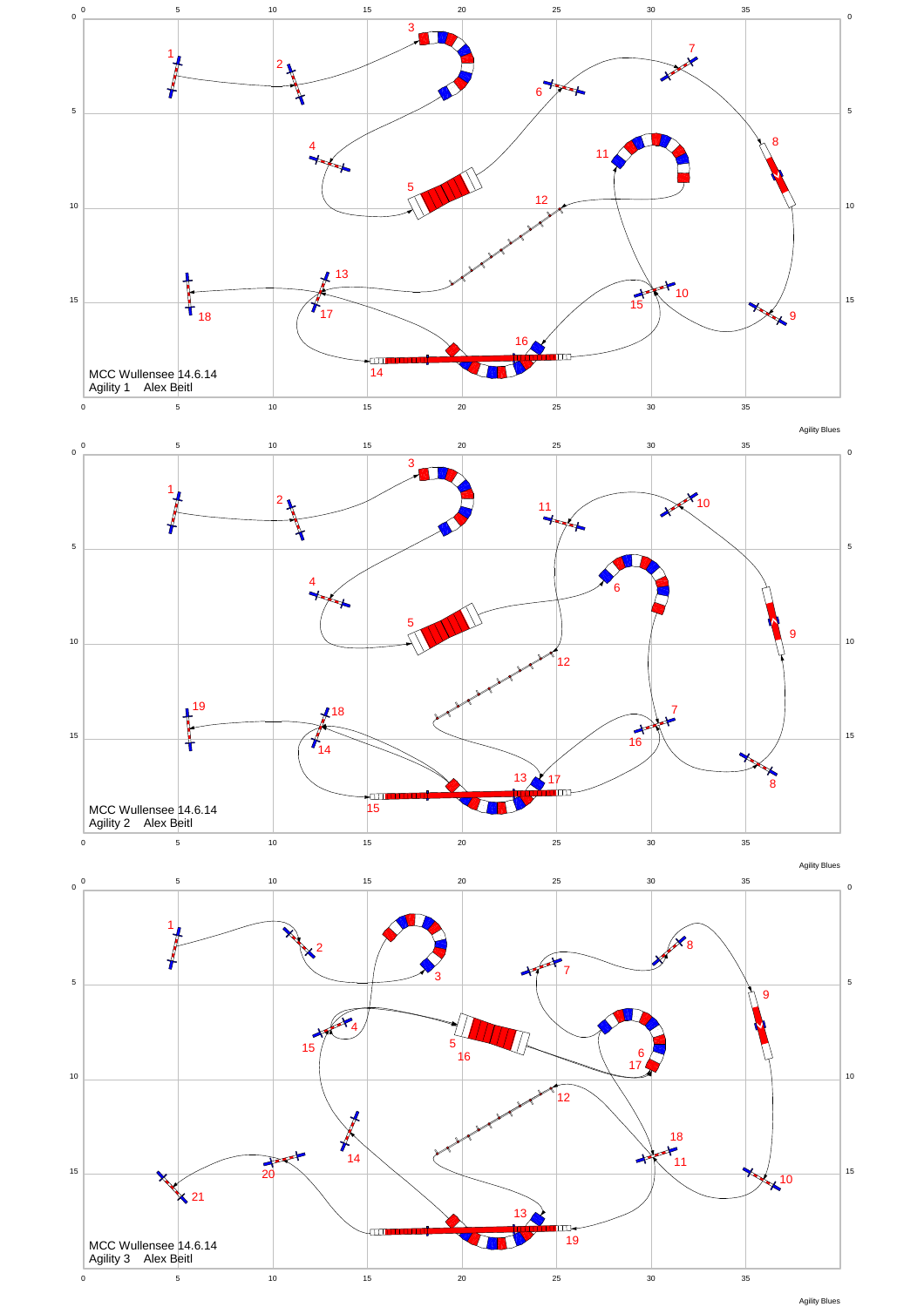